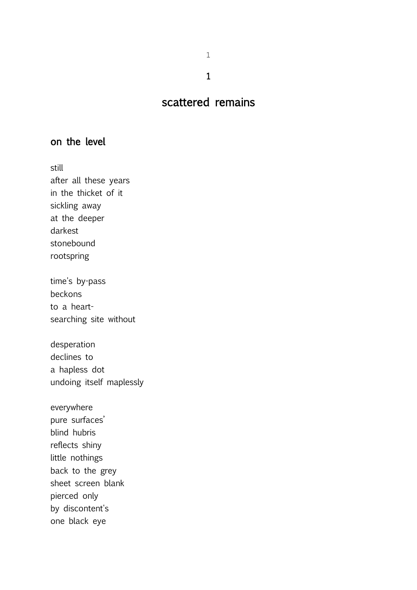1

1

# scattered remains

### on the level

still after all these years in the thicket of it sickling away at the deeper darkest stonebound rootspring time's by-pass

beckons to a heartsearching site without

desperation declines to a hapless dot undoing itself maplessly

everywhere pure surfaces' blind hubris reflects shiny little nothings back to the grey sheet screen blank pierced only by discontent's one black eye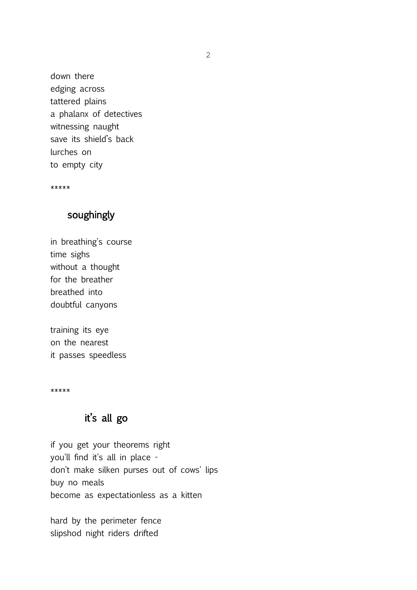down there edging across tattered plains a phalanx of detectives witnessing naught save its shield's back lurches on to empty city

\*\*\*\*\*

# soughingly

in breathing's course time sighs without a thought for the breather breathed into doubtful canyons

training its eye on the nearest it passes speedless

\*\*\*\*\*

#### it's all go

if you get your theorems right you'll find it's all in place don't make silken purses out of cows' lips buy no meals become as expectationless as a kitten

hard by the perimeter fence slipshod night riders drifted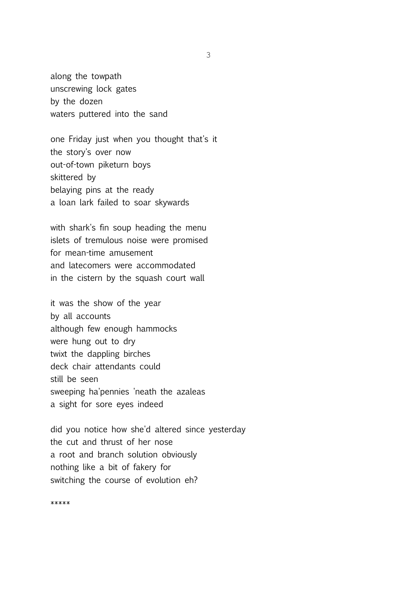along the towpath unscrewing lock gates by the dozen waters puttered into the sand

one Friday just when you thought that's it the story's over now out-of-town piketurn boys skittered by belaying pins at the ready a loan lark failed to soar skywards

with shark's fin soup heading the menu islets of tremulous noise were promised for mean-time amusement and latecomers were accommodated in the cistern by the squash court wall

it was the show of the year by all accounts although few enough hammocks were hung out to dry twixt the dappling birches deck chair attendants could still be seen sweeping ha'pennies 'neath the azaleas a sight for sore eyes indeed

did you notice how she'd altered since yesterday the cut and thrust of her nose a root and branch solution obviously nothing like a bit of fakery for switching the course of evolution eh?

\*\*\*\*\*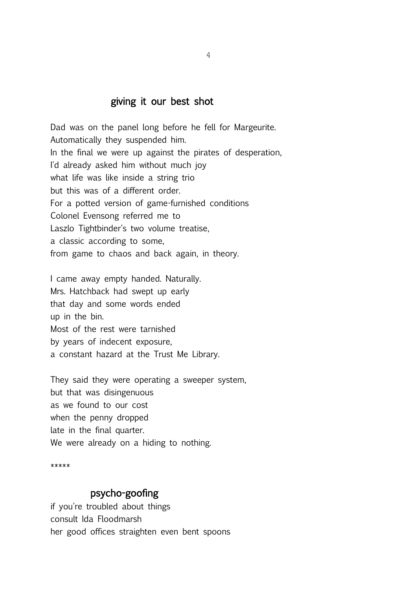#### giving it our best shot

Dad was on the panel long before he fell for Margeurite. Automatically they suspended him. In the final we were up against the pirates of desperation, I'd already asked him without much joy what life was like inside a string trio but this was of a different order. For a potted version of game-furnished conditions Colonel Evensong referred me to Laszlo Tightbinder's two volume treatise, a classic according to some, from game to chaos and back again, in theory.

I came away empty handed. Naturally. Mrs. Hatchback had swept up early that day and some words ended up in the bin. Most of the rest were tarnished by years of indecent exposure, a constant hazard at the Trust Me Library.

They said they were operating a sweeper system, but that was disingenuous as we found to our cost when the penny dropped late in the final quarter. We were already on a hiding to nothing.

\*\*\*\*\*

#### psycho-goofing

if you're troubled about things consult Ida Floodmarsh her good offices straighten even bent spoons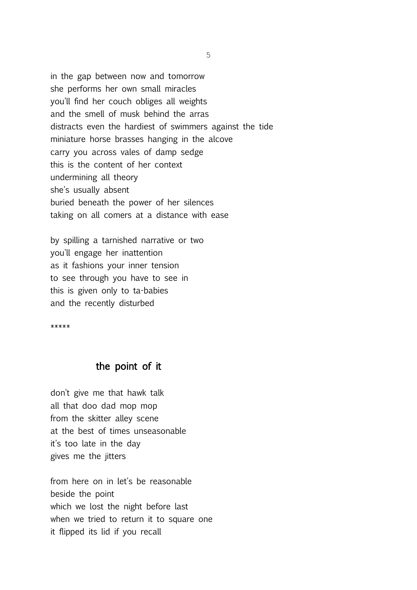in the gap between now and tomorrow she performs her own small miracles you'll find her couch obliges all weights and the smell of musk behind the arras distracts even the hardiest of swimmers against the tide miniature horse brasses hanging in the alcove carry you across vales of damp sedge this is the content of her context undermining all theory she's usually absent buried beneath the power of her silences taking on all comers at a distance with ease

by spilling a tarnished narrative or two you'll engage her inattention as it fashions your inner tension to see through you have to see in this is given only to ta-babies and the recently disturbed

\*\*\*\*\*

#### the point of it

don't give me that hawk talk all that doo dad mop mop from the skitter alley scene at the best of times unseasonable it's too late in the day gives me the jitters

from here on in let's be reasonable beside the point which we lost the night before last when we tried to return it to square one it flipped its lid if you recall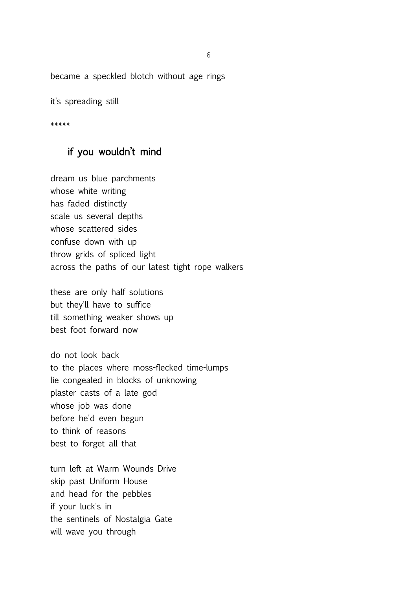became a speckled blotch without age rings

it's spreading still

\*\*\*\*\*

# if you wouldn't mind

dream us blue parchments whose white writing has faded distinctly scale us several depths whose scattered sides confuse down with up throw grids of spliced light across the paths of our latest tight rope walkers

these are only half solutions but they'll have to suffice till something weaker shows up best foot forward now

do not look back to the places where moss-flecked time-lumps lie congealed in blocks of unknowing plaster casts of a late god whose job was done before he'd even begun to think of reasons best to forget all that

turn left at Warm Wounds Drive skip past Uniform House and head for the pebbles if your luck's in the sentinels of Nostalgia Gate will wave you through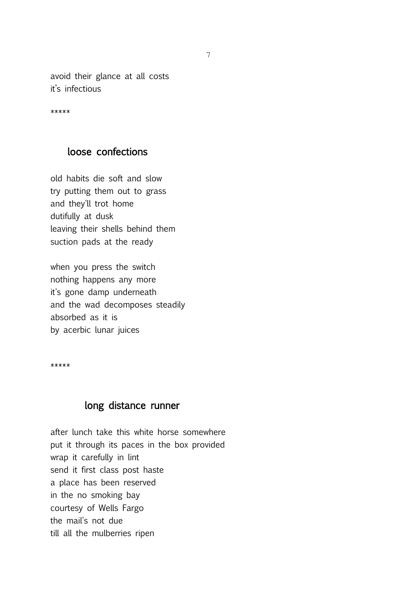avoid their glance at all costs it's infectious

\*\*\*\*\*

#### loose confections

old habits die soft and slow try putting them out to grass and they'll trot home dutifully at dusk leaving their shells behind them suction pads at the ready

when you press the switch nothing happens any more it's gone damp underneath and the wad decomposes steadily absorbed as it is by acerbic lunar juices

\*\*\*\*\*

#### long distance runner

after lunch take this white horse somewhere put it through its paces in the box provided wrap it carefully in lint send it first class post haste a place has been reserved in the no smoking bay courtesy of Wells Fargo the mail's not due till all the mulberries ripen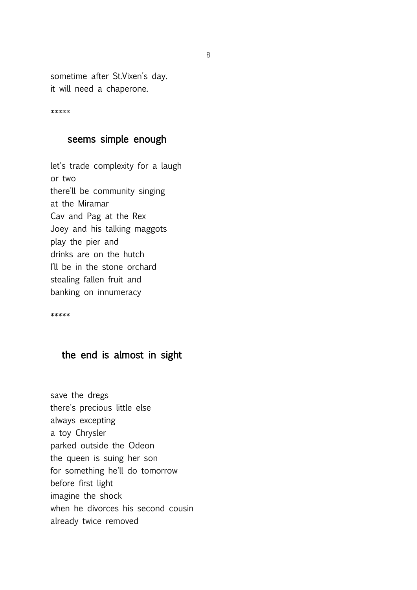sometime after St.Vixen's day. it will need a chaperone.

\*\*\*\*\*

#### seems simple enough

let's trade complexity for a laugh or two there'll be community singing at the Miramar Cav and Pag at the Rex Joey and his talking maggots play the pier and drinks are on the hutch I'll be in the stone orchard stealing fallen fruit and banking on innumeracy

\*\*\*\*\*

#### the end is almost in sight

save the dregs there's precious little else always excepting a toy Chrysler parked outside the Odeon the queen is suing her son for something he'll do tomorrow before first light imagine the shock when he divorces his second cousin already twice removed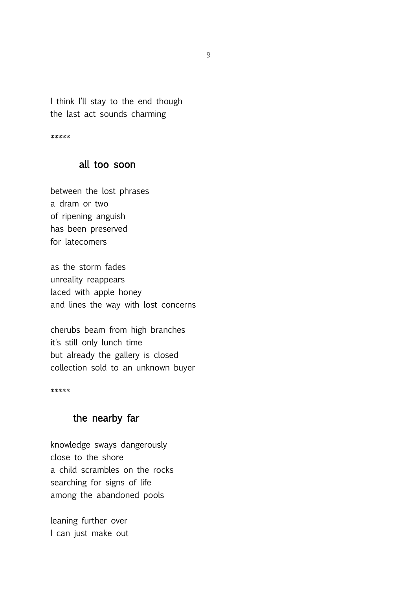I think I'll stay to the end though the last act sounds charming

\*\*\*\*\*

#### all too soon

between the lost phrases a dram or two of ripening anguish has been preserved for latecomers

as the storm fades unreality reappears laced with apple honey and lines the way with lost concerns

cherubs beam from high branches it's still only lunch time but already the gallery is closed collection sold to an unknown buyer

\*\*\*\*\*

#### the nearby far

knowledge sways dangerously close to the shore a child scrambles on the rocks searching for signs of life among the abandoned pools

leaning further over I can just make out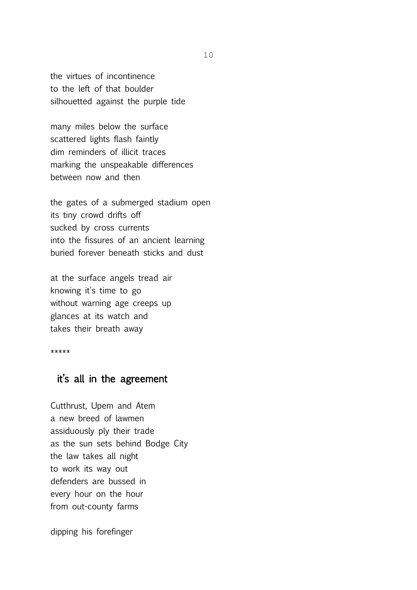the virtues of incontinence to the left of that boulder silhouetted against the purple tide

many miles below the surface scattered lights flash faintly dim reminders of illicit traces marking the unspeakable differences between now and then

the gates of a submerged stadium open its tiny crowd drifts off sucked by cross currents into the fissures of an ancient learning buried forever beneath sticks and dust

at the surface angels tread air knowing it's time to go without warning age creeps up glances at its watch and takes their breath away

\*\*\*\*\*

#### it's all in the agreement

Cutthrust, Upem and Atem a new breed of lawmen assiduously ply their trade as the sun sets behind Bodge City the law takes all night to work its way out defenders are bussed in every hour on the hour from out-county farms

dipping his forefinger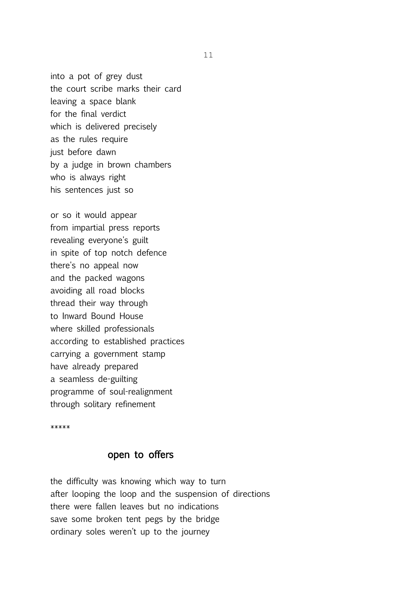into a pot of grey dust the court scribe marks their card leaving a space blank for the final verdict which is delivered precisely as the rules require just before dawn by a judge in brown chambers who is always right his sentences just so

or so it would appear from impartial press reports revealing everyone's guilt in spite of top notch defence there's no appeal now and the packed wagons avoiding all road blocks thread their way through to Inward Bound House where skilled professionals according to established practices carrying a government stamp have already prepared a seamless de-guilting programme of soul-realignment through solitary refinement

\*\*\*\*\*

#### open to offers

the difficulty was knowing which way to turn after looping the loop and the suspension of directions there were fallen leaves but no indications save some broken tent pegs by the bridge ordinary soles weren't up to the journey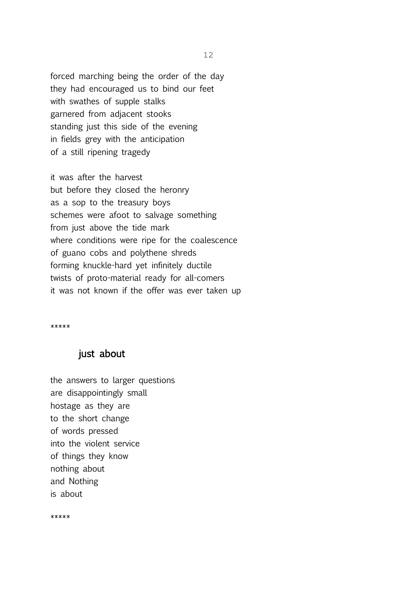forced marching being the order of the day they had encouraged us to bind our feet with swathes of supple stalks garnered from adjacent stooks standing just this side of the evening in fields grey with the anticipation of a still ripening tragedy

it was after the harvest but before they closed the heronry as a sop to the treasury boys schemes were afoot to salvage something from just above the tide mark where conditions were ripe for the coalescence of guano cobs and polythene shreds forming knuckle-hard yet infinitely ductile twists of proto-material ready for all-comers it was not known if the offer was ever taken up

\*\*\*\*\*

#### just about

the answers to larger questions are disappointingly small hostage as they are to the short change of words pressed into the violent service of things they know nothing about and Nothing is about

\*\*\*\*\*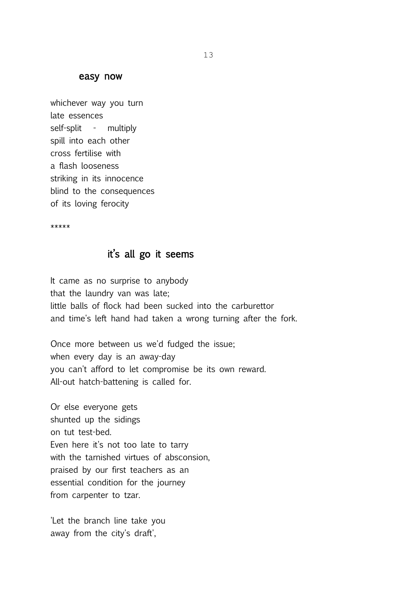#### easy now

whichever way you turn late essences self-split - multiply spill into each other cross fertilise with a flash looseness striking in its innocence blind to the consequences of its loving ferocity

\*\*\*\*\*

#### it's all go it seems

It came as no surprise to anybody that the laundry van was late; little balls of flock had been sucked into the carburettor and time's left hand had taken a wrong turning after the fork.

Once more between us we'd fudged the issue; when every day is an away-day you can't afford to let compromise be its own reward. All-out hatch-battening is called for.

Or else everyone gets shunted up the sidings on tut test-bed. Even here it's not too late to tarry with the tarnished virtues of absconsion, praised by our first teachers as an essential condition for the journey from carpenter to tzar.

'Let the branch line take you away from the city's draft',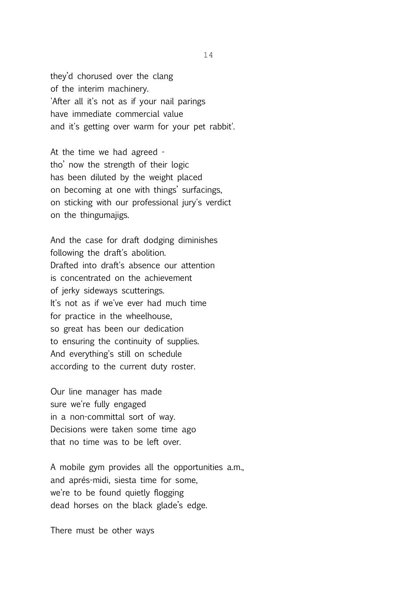they'd chorused over the clang of the interim machinery. 'After all it's not as if your nail parings have immediate commercial value and it's getting over warm for your pet rabbit'.

At the time we had agreed tho' now the strength of their logic has been diluted by the weight placed on becoming at one with things' surfacings, on sticking with our professional jury's verdict on the thingumajigs.

And the case for draft dodging diminishes following the draft's abolition. Drafted into draft's absence our attention is concentrated on the achievement of jerky sideways scutterings. It's not as if we've ever had much time for practice in the wheelhouse, so great has been our dedication to ensuring the continuity of supplies. And everything's still on schedule according to the current duty roster.

Our line manager has made sure we're fully engaged in a non-committal sort of way. Decisions were taken some time ago that no time was to be left over.

A mobile gym provides all the opportunities a.m., and aprés-midi, siesta time for some, we're to be found quietly flogging dead horses on the black glade's edge.

There must be other ways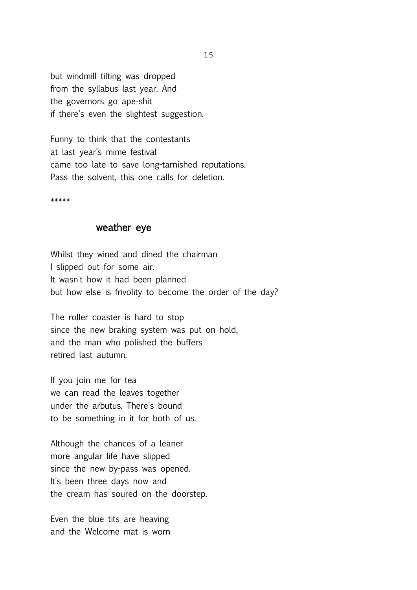but windmill tilting was dropped from the syllabus last year. And the governors go ape-shit if there's even the slightest suggestion.

Funny to think that the contestants at last year's mime festival came too late to save long-tarnished reputations. Pass the solvent, this one calls for deletion.

\*\*\*\*\*

#### weather eye

Whilst they wined and dined the chairman I slipped out for some air. It wasn't how it had been planned but how else is frivolity to become the order of the day?

The roller coaster is hard to stop since the new braking system was put on hold, and the man who polished the buffers retired last autumn.

If you join me for tea we can read the leaves together under the arbutus. There's bound to be something in it for both of us.

Although the chances of a leaner more angular life have slipped since the new by-pass was opened. It's been three days now and the cream has soured on the doorstep.

Even the blue tits are heaving and the Welcome mat is worn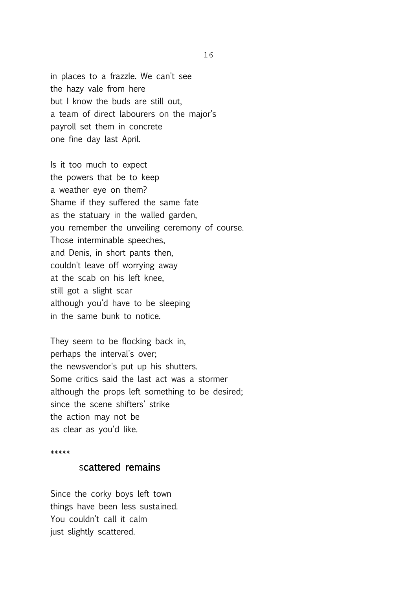in places to a frazzle. We can't see the hazy vale from here but I know the buds are still out, a team of direct labourers on the major's payroll set them in concrete one fine day last April.

Is it too much to expect the powers that be to keep a weather eye on them? Shame if they suffered the same fate as the statuary in the walled garden, you remember the unveiling ceremony of course. Those interminable speeches, and Denis, in short pants then, couldn't leave off worrying away at the scab on his left knee, still got a slight scar although you'd have to be sleeping in the same bunk to notice.

They seem to be flocking back in, perhaps the interval's over; the newsvendor's put up his shutters. Some critics said the last act was a stormer although the props left something to be desired; since the scene shifters' strike the action may not be as clear as you'd like.

#### \*\*\*\*\*

#### scattered remains

Since the corky boys left town things have been less sustained. You couldn't call it calm just slightly scattered.

16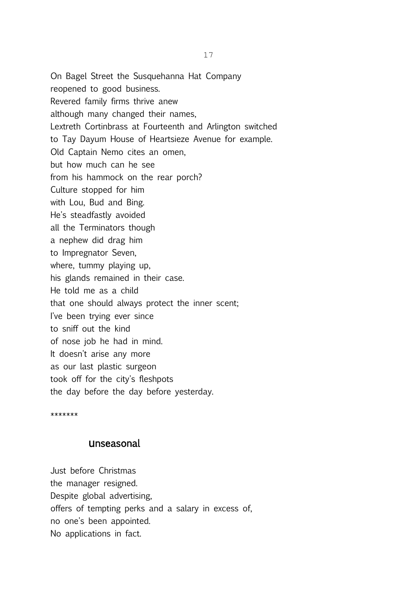On Bagel Street the Susquehanna Hat Company reopened to good business. Revered family firms thrive anew although many changed their names, Lextreth Cortinbrass at Fourteenth and Arlington switched to Tay Dayum House of Heartsieze Avenue for example. Old Captain Nemo cites an omen, but how much can he see from his hammock on the rear porch? Culture stopped for him with Lou, Bud and Bing. He's steadfastly avoided all the Terminators though a nephew did drag him to Impregnator Seven, where, tummy playing up, his glands remained in their case. He told me as a child that one should always protect the inner scent; I've been trying ever since to sniff out the kind of nose job he had in mind. It doesn't arise any more as our last plastic surgeon took off for the city's fleshpots the day before the day before yesterday.

\*\*\*\*\*\*\*

#### unseasonal

Just before Christmas the manager resigned. Despite global advertising, offers of tempting perks and a salary in excess of, no one's been appointed. No applications in fact.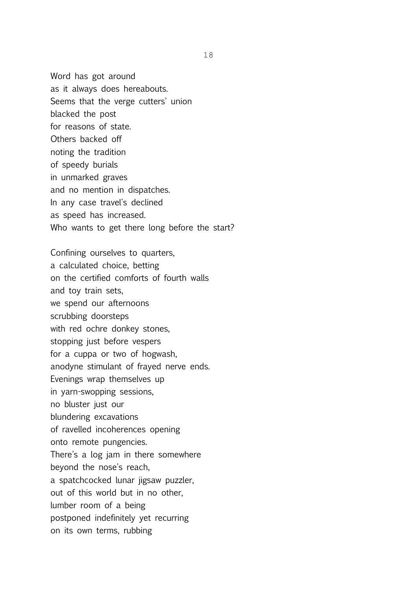Word has got around as it always does hereabouts. Seems that the verge cutters' union blacked the post for reasons of state. Others backed off noting the tradition of speedy burials in unmarked graves and no mention in dispatches. In any case travel's declined as speed has increased. Who wants to get there long before the start?

Confining ourselves to quarters, a calculated choice, betting on the certified comforts of fourth walls and toy train sets, we spend our afternoons scrubbing doorsteps with red ochre donkey stones, stopping just before vespers for a cuppa or two of hogwash, anodyne stimulant of frayed nerve ends. Evenings wrap themselves up in yarn-swopping sessions, no bluster just our blundering excavations of ravelled incoherences opening onto remote pungencies. There's a log jam in there somewhere beyond the nose's reach, a spatchcocked lunar jigsaw puzzler, out of this world but in no other, lumber room of a being postponed indefinitely yet recurring on its own terms, rubbing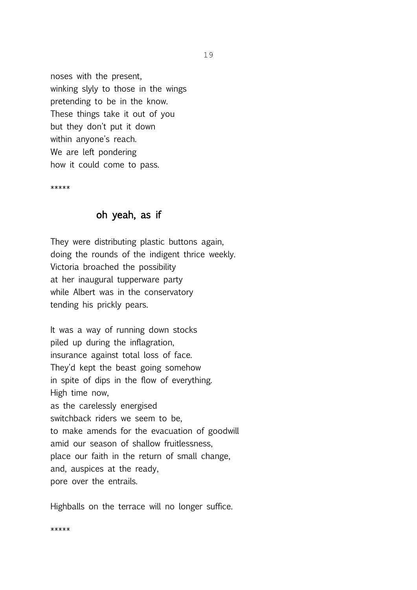noses with the present, winking slyly to those in the wings pretending to be in the know. These things take it out of you but they don't put it down within anyone's reach. We are left pondering how it could come to pass.

\*\*\*\*\*

#### oh yeah, as if

They were distributing plastic buttons again, doing the rounds of the indigent thrice weekly. Victoria broached the possibility at her inaugural tupperware party while Albert was in the conservatory tending his prickly pears.

It was a way of running down stocks piled up during the inflagration, insurance against total loss of face. They'd kept the beast going somehow in spite of dips in the flow of everything. High time now, as the carelessly energised switchback riders we seem to be, to make amends for the evacuation of goodwill amid our season of shallow fruitlessness, place our faith in the return of small change, and, auspices at the ready, pore over the entrails.

Highballs on the terrace will no longer suffice.

\*\*\*\*\*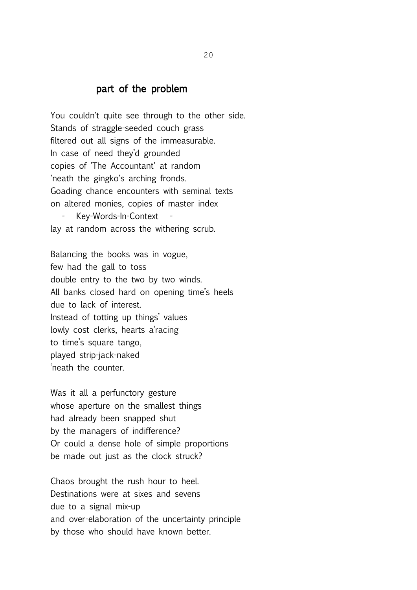#### part of the problem

You couldn't quite see through to the other side. Stands of straggle-seeded couch grass filtered out all signs of the immeasurable. In case of need they'd grounded copies of 'The Accountant' at random 'neath the gingko's arching fronds. Goading chance encounters with seminal texts on altered monies, copies of master index Key-Words-In-Context lay at random across the withering scrub.

Balancing the books was in vogue, few had the gall to toss double entry to the two by two winds. All banks closed hard on opening time's heels due to lack of interest. Instead of totting up things' values lowly cost clerks, hearts a'racing to time's square tango, played strip-jack-naked 'neath the counter.

Was it all a perfunctory gesture whose aperture on the smallest things had already been snapped shut by the managers of indifference? Or could a dense hole of simple proportions be made out just as the clock struck?

Chaos brought the rush hour to heel. Destinations were at sixes and sevens due to a signal mix-up and over-elaboration of the uncertainty principle by those who should have known better.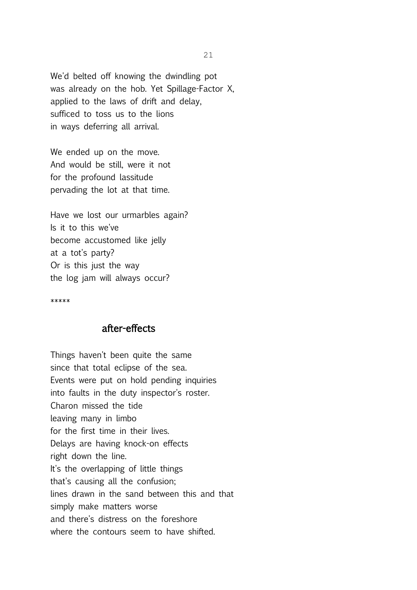We'd belted off knowing the dwindling pot was already on the hob. Yet Spillage-Factor X, applied to the laws of drift and delay, sufficed to toss us to the lions in ways deferring all arrival.

We ended up on the move. And would be still, were it not for the profound lassitude pervading the lot at that time.

Have we lost our urmarbles again? Is it to this we've become accustomed like jelly at a tot's party? Or is this just the way the log jam will always occur?

\*\*\*\*\*

#### after-effects

Things haven't been quite the same since that total eclipse of the sea. Events were put on hold pending inquiries into faults in the duty inspector's roster. Charon missed the tide leaving many in limbo for the first time in their lives. Delays are having knock-on effects right down the line. It's the overlapping of little things that's causing all the confusion; lines drawn in the sand between this and that simply make matters worse and there's distress on the foreshore where the contours seem to have shifted.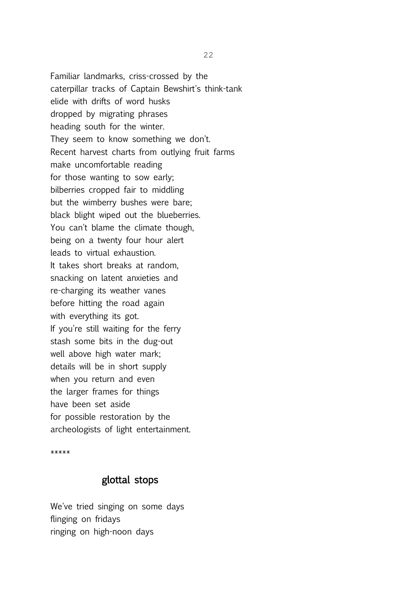Familiar landmarks, criss-crossed by the caterpillar tracks of Captain Bewshirt's think-tank elide with drifts of word husks dropped by migrating phrases heading south for the winter. They seem to know something we don't. Recent harvest charts from outlying fruit farms make uncomfortable reading for those wanting to sow early; bilberries cropped fair to middling but the wimberry bushes were bare; black blight wiped out the blueberries. You can't blame the climate though, being on a twenty four hour alert leads to virtual exhaustion. It takes short breaks at random, snacking on latent anxieties and re-charging its weather vanes before hitting the road again with everything its got. If you're still waiting for the ferry stash some bits in the dug-out well above high water mark; details will be in short supply when you return and even the larger frames for things have been set aside for possible restoration by the archeologists of light entertainment.

\*\*\*\*\*

#### glottal stops

We've tried singing on some days flinging on fridays ringing on high-noon days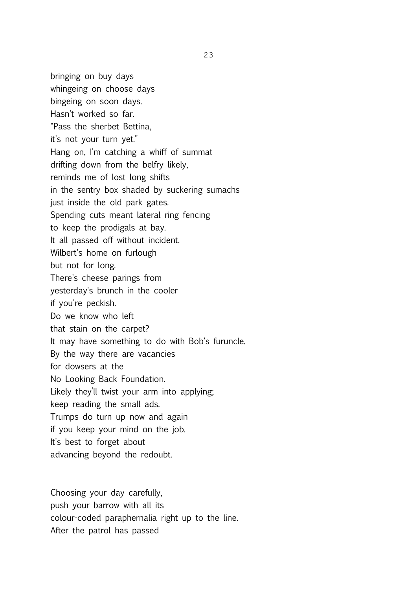bringing on buy days whingeing on choose days bingeing on soon days. Hasn't worked so far. "Pass the sherbet Bettina, it's not your turn yet." Hang on, I'm catching a whiff of summat drifting down from the belfry likely, reminds me of lost long shifts in the sentry box shaded by suckering sumachs just inside the old park gates. Spending cuts meant lateral ring fencing to keep the prodigals at bay. It all passed off without incident. Wilbert's home on furlough but not for long. There's cheese parings from yesterday's brunch in the cooler if you're peckish. Do we know who left that stain on the carpet? It may have something to do with Bob's furuncle. By the way there are vacancies for dowsers at the No Looking Back Foundation. Likely they'll twist your arm into applying; keep reading the small ads. Trumps do turn up now and again if you keep your mind on the job. It's best to forget about advancing beyond the redoubt.

Choosing your day carefully, push your barrow with all its colour-coded paraphernalia right up to the line. After the patrol has passed